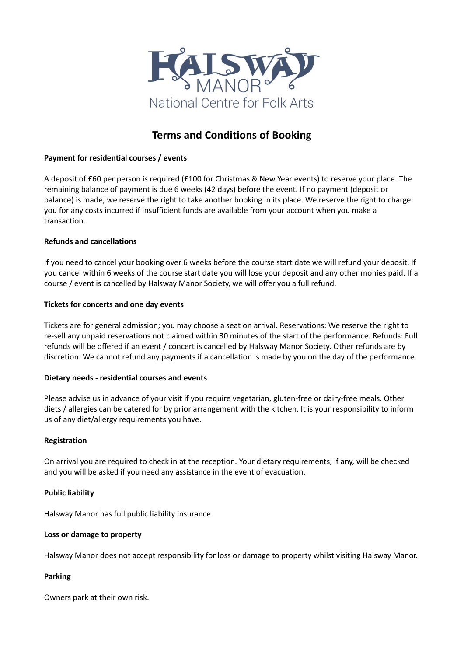

# **Terms and Conditions of Booking**

# **Payment for residential courses / events**

A deposit of £60 per person is required (£100 for Christmas & New Year events) to reserve your place. The remaining balance of payment is due 6 weeks (42 days) before the event. If no payment (deposit or balance) is made, we reserve the right to take another booking in its place. We reserve the right to charge you for any costs incurred if insufficient funds are available from your account when you make a transaction.

# **Refunds and cancellations**

If you need to cancel your booking over 6 weeks before the course start date we will refund your deposit. If you cancel within 6 weeks of the course start date you will lose your deposit and any other monies paid. If a course / event is cancelled by Halsway Manor Society, we will offer you a full refund.

## **Tickets for concerts and one day events**

Tickets are for general admission; you may choose a seat on arrival. Reservations: We reserve the right to re-sell any unpaid reservations not claimed within 30 minutes of the start of the performance. Refunds: Full refunds will be offered if an event / concert is cancelled by Halsway Manor Society. Other refunds are by discretion. We cannot refund any payments if a cancellation is made by you on the day of the performance.

## **Dietary needs - residential courses and events**

Please advise us in advance of your visit if you require vegetarian, gluten-free or dairy-free meals. Other diets / allergies can be catered for by prior arrangement with the kitchen. It is your responsibility to inform us of any diet/allergy requirements you have.

## **Registration**

On arrival you are required to check in at the reception. Your dietary requirements, if any, will be checked and you will be asked if you need any assistance in the event of evacuation.

## **Public liability**

Halsway Manor has full public liability insurance.

## **Loss or damage to property**

Halsway Manor does not accept responsibility for loss or damage to property whilst visiting Halsway Manor.

## **Parking**

Owners park at their own risk.